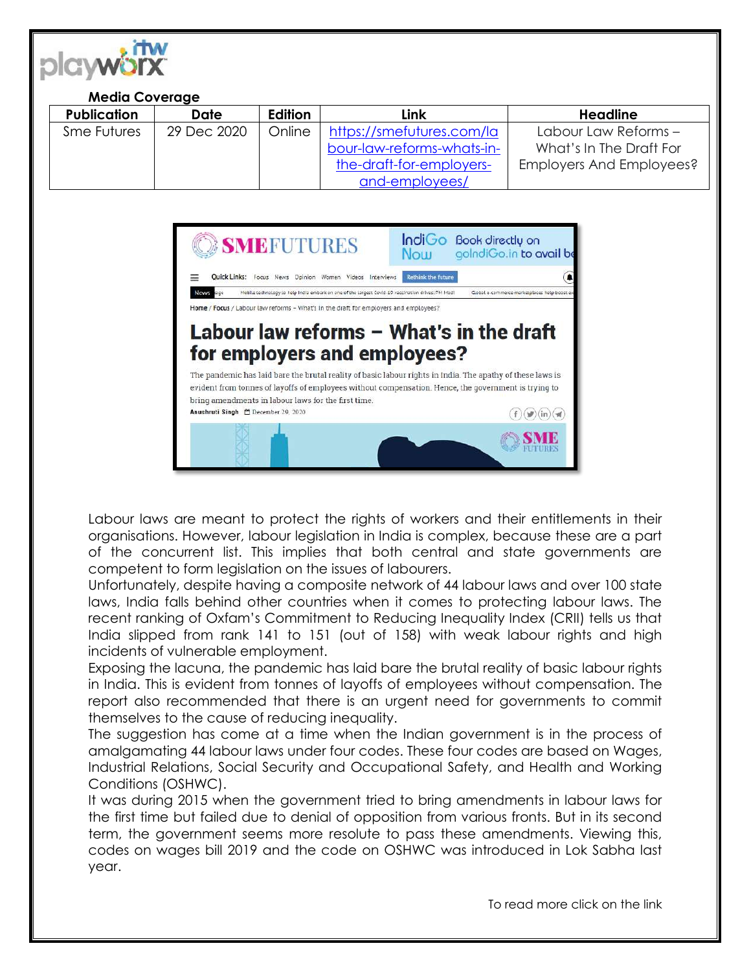

## **Media Coverage**

| <b>Publication</b> | <b>Date</b> | <b>Edition</b> | Link                       | Headline                 |
|--------------------|-------------|----------------|----------------------------|--------------------------|
| <b>Sme Futures</b> | 29 Dec 2020 | Online         | https://smefutures.com/la  | Labour Law Reforms -     |
|                    |             |                | bour-law-reforms-whats-in- | What's In The Draft For  |
|                    |             |                | the-draft-for-employers-   | Employers And Employees? |
|                    |             |                | and-employees/             |                          |



Labour laws are meant to protect the rights of workers and their entitlements in their organisations. However, labour legislation in India is complex, because these are a part of the concurrent list. This implies that both central and state governments are competent to form legislation on the issues of labourers.

Unfortunately, despite having a composite network of 44 labour laws and over 100 state laws, India falls behind other countries when it comes to protecting labour laws. The recent ranking of Oxfam's Commitment to Reducing Inequality Index (CRII) tells us that India slipped from rank 141 to 151 (out of 158) with weak labour rights and high incidents of vulnerable employment.

Exposing the lacuna, the pandemic has laid bare the brutal reality of basic labour rights in India. This is evident from tonnes of layoffs of employees without compensation. The report also recommended that there is an urgent need for governments to commit themselves to the cause of reducing inequality.

The suggestion has come at a time when the Indian government is in the process of amalgamating 44 labour laws under four codes. These four codes are based on Wages, Industrial Relations, Social Security and Occupational Safety, and Health and Working Conditions (OSHWC).

It was during 2015 when the government tried to bring amendments in labour laws for the first time but failed due to denial of opposition from various fronts. But in its second term, the government seems more resolute to pass these amendments. Viewing this, codes on wages bill 2019 and the code on OSHWC was introduced in Lok Sabha last year.

To read more click on the link